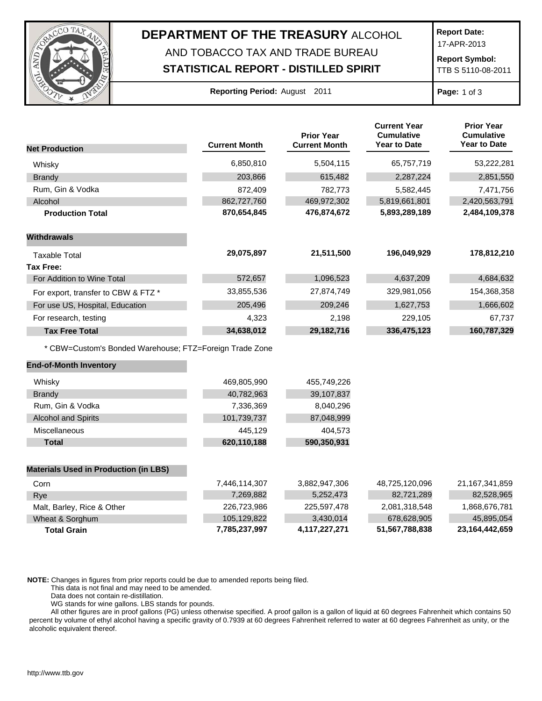

## **DEPARTMENT OF THE TREASURY** ALCOHOL AND TOBACCO TAX AND TRADE BUREAU

## **STATISTICAL REPORT - DISTILLED SPIRIT**

**Report Date:**

17-APR-2013

**Report Symbol:** TTB S 5110-08-2011

|  | Reporting Period: August 2011 |  |  |  |
|--|-------------------------------|--|--|--|
|--|-------------------------------|--|--|--|

**Page:** 1 of 3

|                                                         |                      | <b>Prior Year</b>    | <b>Current Year</b><br><b>Cumulative</b> | <b>Prior Year</b><br><b>Cumulative</b> |
|---------------------------------------------------------|----------------------|----------------------|------------------------------------------|----------------------------------------|
| <b>Net Production</b>                                   | <b>Current Month</b> | <b>Current Month</b> | <b>Year to Date</b>                      | <b>Year to Date</b>                    |
| Whisky                                                  | 6,850,810            | 5,504,115            | 65,757,719                               | 53,222,281                             |
| <b>Brandy</b>                                           | 203,866              | 615,482              | 2,287,224                                | 2,851,550                              |
| Rum, Gin & Vodka                                        | 872,409              | 782,773              | 5,582,445                                | 7,471,756                              |
| Alcohol                                                 | 862,727,760          | 469,972,302          | 5,819,661,801                            | 2,420,563,791                          |
| <b>Production Total</b>                                 | 870,654,845          | 476,874,672          | 5,893,289,189                            | 2,484,109,378                          |
| <b>Withdrawals</b>                                      |                      |                      |                                          |                                        |
| <b>Taxable Total</b>                                    | 29,075,897           | 21,511,500           | 196,049,929                              | 178,812,210                            |
| Tax Free:                                               |                      |                      |                                          |                                        |
| For Addition to Wine Total                              | 572,657              | 1,096,523            | 4,637,209                                | 4,684,632                              |
| For export, transfer to CBW & FTZ *                     | 33,855,536           | 27,874,749           | 329,981,056                              | 154,368,358                            |
| For use US, Hospital, Education                         | 205,496              | 209,246              | 1,627,753                                | 1,666,602                              |
| For research, testing                                   | 4,323                | 2,198                | 229,105                                  | 67,737                                 |
| <b>Tax Free Total</b>                                   | 34,638,012           | 29,182,716           | 336,475,123                              | 160,787,329                            |
| * CBW=Custom's Bonded Warehouse; FTZ=Foreign Trade Zone |                      |                      |                                          |                                        |
| <b>End-of-Month Inventory</b>                           |                      |                      |                                          |                                        |
| Whisky                                                  | 469,805,990          | 455,749,226          |                                          |                                        |
| <b>Brandy</b>                                           | 40,782,963           | 39,107,837           |                                          |                                        |
| Rum, Gin & Vodka                                        | 7,336,369            | 8,040,296            |                                          |                                        |
| <b>Alcohol and Spirits</b>                              | 101,739,737          | 87,048,999           |                                          |                                        |
| Miscellaneous                                           | 445,129              | 404,573              |                                          |                                        |
| <b>Total</b>                                            | 620,110,188          | 590,350,931          |                                          |                                        |
| <b>Materials Used in Production (in LBS)</b>            |                      |                      |                                          |                                        |
| Corn                                                    | 7,446,114,307        | 3,882,947,306        | 48,725,120,096                           | 21,167,341,859                         |
| Rye                                                     | 7,269,882            | 5,252,473            | 82,721,289                               | 82,528,965                             |
| Malt, Barley, Rice & Other                              | 226,723,986          | 225,597,478          | 2,081,318,548                            | 1,868,676,781                          |
| Wheat & Sorghum                                         | 105,129,822          | 3,430,014            | 678,628,905                              | 45,895,054                             |
| <b>Total Grain</b>                                      | 7,785,237,997        | 4,117,227,271        | 51,567,788,838                           | 23,164,442,659                         |

**NOTE:** Changes in figures from prior reports could be due to amended reports being filed.

This data is not final and may need to be amended.

Data does not contain re-distillation.

WG stands for wine gallons. LBS stands for pounds.

All other figures are in proof gallons (PG) unless otherwise specified. A proof gallon is a gallon of liquid at 60 degrees Fahrenheit which contains 50 percent by volume of ethyl alcohol having a specific gravity of 0.7939 at 60 degrees Fahrenheit referred to water at 60 degrees Fahrenheit as unity, or the alcoholic equivalent thereof.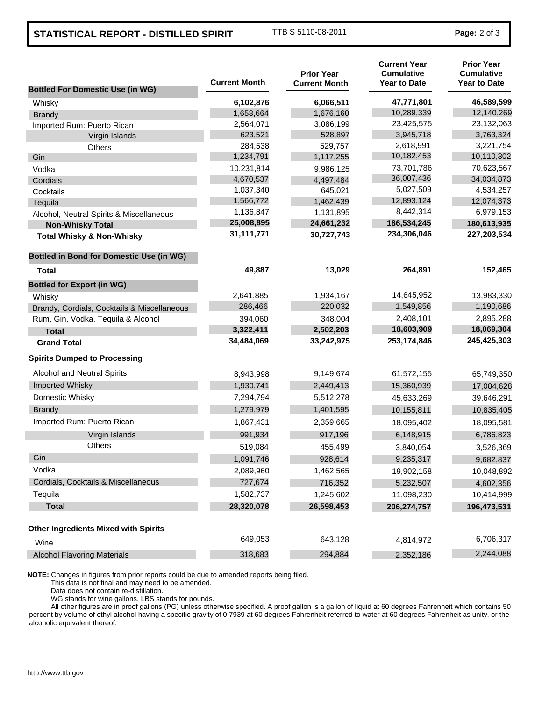## **STATISTICAL REPORT - DISTILLED SPIRIT** TTB S 5110-08-2011 **Page:** 2 of 3

| <b>Bottled For Domestic Use (in WG)</b>         | <b>Current Month</b> | <b>Prior Year</b><br><b>Current Month</b> | <b>Current Year</b><br><b>Cumulative</b><br><b>Year to Date</b> | <b>Prior Year</b><br><b>Cumulative</b><br><b>Year to Date</b> |
|-------------------------------------------------|----------------------|-------------------------------------------|-----------------------------------------------------------------|---------------------------------------------------------------|
| Whisky                                          | 6,102,876            | 6,066,511                                 | 47,771,801                                                      | 46,589,599                                                    |
| <b>Brandy</b>                                   | 1,658,664            | 1,676,160                                 | 10,289,339                                                      | 12,140,269                                                    |
| Imported Rum: Puerto Rican                      | 2,564,071            | 3,086,199                                 | 23,425,575                                                      | 23,132,063                                                    |
| Virgin Islands                                  | 623,521              | 528,897                                   | 3,945,718                                                       | 3,763,324                                                     |
| Others                                          | 284,538              | 529,757                                   | 2,618,991                                                       | 3,221,754                                                     |
| Gin                                             | 1,234,791            | 1,117,255                                 | 10,182,453                                                      | 10,110,302                                                    |
| Vodka                                           | 10,231,814           | 9,986,125                                 | 73,701,786                                                      | 70,623,567                                                    |
| Cordials                                        | 4,670,537            | 4,497,484                                 | 36,007,436                                                      | 34,034,873                                                    |
| Cocktails                                       | 1,037,340            | 645,021                                   | 5,027,509                                                       | 4,534,257                                                     |
| Tequila                                         | 1,566,772            | 1,462,439                                 | 12,893,124                                                      | 12,074,373                                                    |
| Alcohol, Neutral Spirits & Miscellaneous        | 1,136,847            | 1,131,895                                 | 8,442,314                                                       | 6,979,153                                                     |
| <b>Non-Whisky Total</b>                         | 25,008,895           | 24,661,232                                | 186,534,245                                                     | 180,613,935                                                   |
| <b>Total Whisky &amp; Non-Whisky</b>            | 31,111,771           | 30,727,743                                | 234,306,046                                                     | 227,203,534                                                   |
| <b>Bottled in Bond for Domestic Use (in WG)</b> |                      |                                           |                                                                 |                                                               |
| Total                                           | 49,887               | 13,029                                    | 264,891                                                         | 152,465                                                       |
| <b>Bottled for Export (in WG)</b>               |                      |                                           |                                                                 |                                                               |
| Whisky                                          | 2,641,885            | 1,934,167                                 | 14,645,952                                                      | 13,983,330                                                    |
| Brandy, Cordials, Cocktails & Miscellaneous     | 286,466              | 220,032                                   | 1,549,856                                                       | 1,190,686                                                     |
| Rum, Gin, Vodka, Tequila & Alcohol              | 394,060              | 348,004                                   | 2,408,101                                                       | 2,895,288                                                     |
| <b>Total</b>                                    | 3,322,411            | 2,502,203                                 | 18,603,909                                                      | 18,069,304                                                    |
| <b>Grand Total</b>                              | 34,484,069           | 33,242,975                                | 253,174,846                                                     | 245,425,303                                                   |
| <b>Spirits Dumped to Processing</b>             |                      |                                           |                                                                 |                                                               |
| Alcohol and Neutral Spirits                     | 8,943,998            | 9,149,674                                 | 61,572,155                                                      | 65,749,350                                                    |
| Imported Whisky                                 | 1,930,741            | 2,449,413                                 | 15,360,939                                                      | 17,084,628                                                    |
| Domestic Whisky                                 | 7,294,794            | 5,512,278                                 | 45,633,269                                                      | 39,646,291                                                    |
| <b>Brandy</b>                                   | 1,279,979            | 1,401,595                                 | 10,155,811                                                      | 10,835,405                                                    |
| Imported Rum: Puerto Rican                      | 1,867,431            | 2,359,665                                 | 18,095,402                                                      | 18,095,581                                                    |
| Virgin Islands                                  | 991,934              | 917,196                                   | 6,148,915                                                       | 6,786,823                                                     |
| <b>Others</b>                                   | 519,084              | 455,499                                   | 3,840,054                                                       | 3,526,369                                                     |
| Gin                                             | 1,091,746            | 928,614                                   | 9,235,317                                                       | 9,682,837                                                     |
| Vodka                                           | 2,089,960            | 1,462,565                                 | 19,902,158                                                      | 10,048,892                                                    |
| Cordials, Cocktails & Miscellaneous             | 727,674              | 716,352                                   | 5,232,507                                                       | 4,602,356                                                     |
| Tequila                                         | 1,582,737            | 1,245,602                                 | 11,098,230                                                      | 10,414,999                                                    |
| <b>Total</b>                                    | 28,320,078           | 26,598,453                                | 206,274,757                                                     | 196,473,531                                                   |
| <b>Other Ingredients Mixed with Spirits</b>     |                      |                                           |                                                                 |                                                               |
| Wine                                            | 649,053              | 643,128                                   | 4,814,972                                                       | 6,706,317                                                     |
| <b>Alcohol Flavoring Materials</b>              | 318,683              | 294,884                                   | 2,352,186                                                       | 2,244,088                                                     |

**NOTE:** Changes in figures from prior reports could be due to amended reports being filed.

This data is not final and may need to be amended.

Data does not contain re-distillation.

WG stands for wine gallons. LBS stands for pounds.

All other figures are in proof gallons (PG) unless otherwise specified. A proof gallon is a gallon of liquid at 60 degrees Fahrenheit which contains 50 percent by volume of ethyl alcohol having a specific gravity of 0.7939 at 60 degrees Fahrenheit referred to water at 60 degrees Fahrenheit as unity, or the alcoholic equivalent thereof.